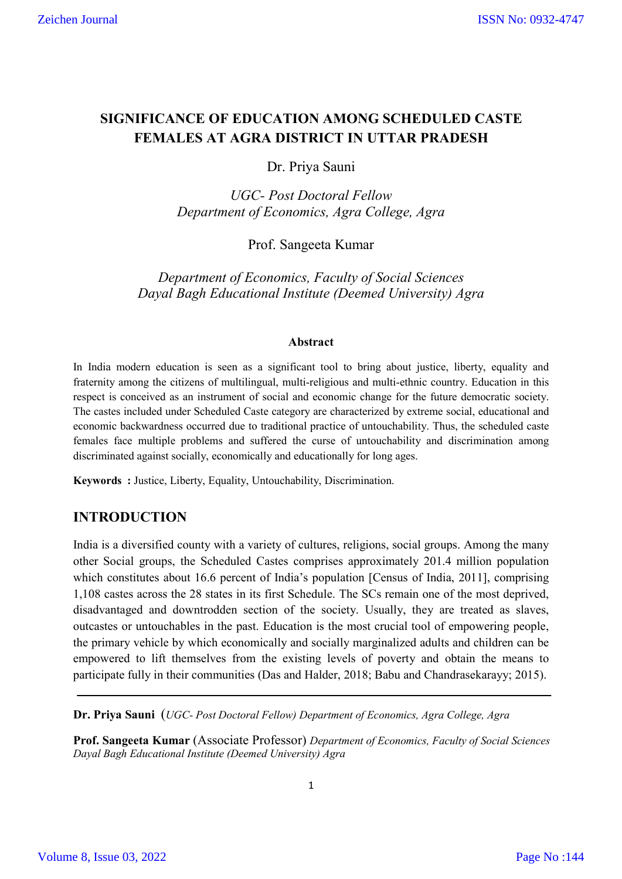# **SIGNIFICANCE OF EDUCATION AMONG SCHEDULED CASTE FEMALES AT AGRA DISTRICT IN UTTAR PRADESH**

Dr. Priya Sauni

*UGC- Post Doctoral Fellow Department of Economics, Agra College, Agra* 

Prof. Sangeeta Kumar

*Department of Economics, Faculty of Social Sciences Dayal Bagh Educational Institute (Deemed University) Agra* 

### **Abstract**

In India modern education is seen as a significant tool to bring about justice, liberty, equality and fraternity among the citizens of multilingual, multi-religious and multi-ethnic country. Education in this respect is conceived as an instrument of social and economic change for the future democratic society. The castes included under Scheduled Caste category are characterized by extreme social, educational and economic backwardness occurred due to traditional practice of untouchability. Thus, the scheduled caste females face multiple problems and suffered the curse of untouchability and discrimination among discriminated against socially, economically and educationally for long ages.

**Keywords :** Justice, Liberty, Equality, Untouchability, Discrimination.

# **INTRODUCTION**

India is a diversified county with a variety of cultures, religions, social groups. Among the many other Social groups, the Scheduled Castes comprises approximately 201.4 million population which constitutes about 16.6 percent of India's population [Census of India, 2011], comprising 1,108 castes across the 28 states in its first Schedule. The SCs remain one of the most deprived, disadvantaged and downtrodden section of the society. Usually, they are treated as slaves, outcastes or untouchables in the past. Education is the most crucial tool of empowering people, the primary vehicle by which economically and socially marginalized adults and children can be empowered to lift themselves from the existing levels of poverty and obtain the means to participate fully in their communities (Das and Halder, 2018; Babu and Chandrasekarayy; 2015).

**Dr. Priya Sauni** (*UGC- Post Doctoral Fellow) Department of Economics, Agra College, Agra* 

**Prof. Sangeeta Kumar** (Associate Professor) *Department of Economics, Faculty of Social Sciences Dayal Bagh Educational Institute (Deemed University) Agra*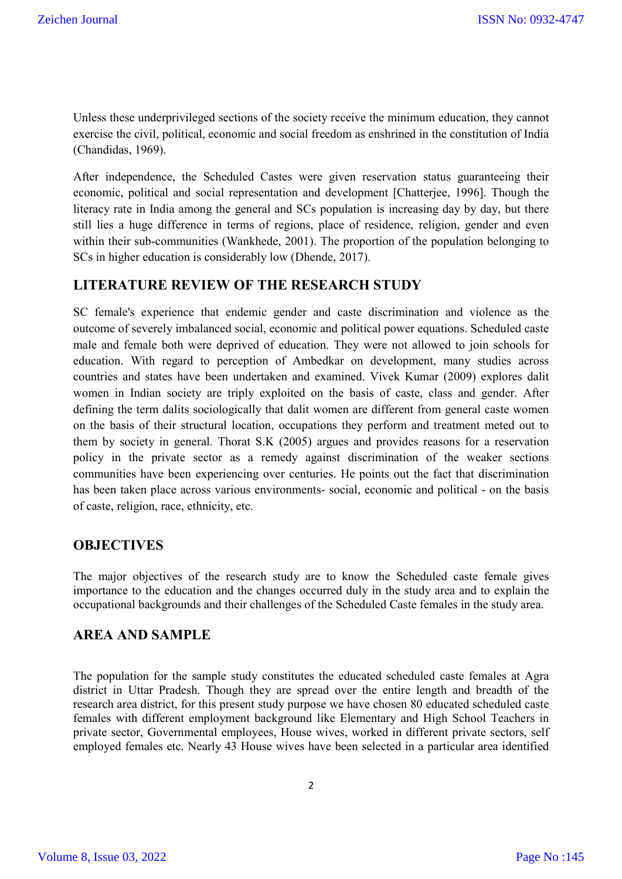Unless these underprivileged sections of the society receive the minimum education, they cannot exercise the civil, political, economic and social freedom as enshrined in the constitution of India (Chandidas, 1969).

After independence, the Scheduled Castes were given reservation status guaranteeing their economic, political and social representation and development [Chatterjee, 1996]. Though the literacy rate in India among the general and SCs population is increasing day by day, but there still lies a huge difference in terms of regions, place of residence, religion, gender and even within their sub-communities (Wankhede, 2001). The proportion of the population belonging to SCs in higher education is considerably low (Dhende, 2017).

## **LITERATURE REVIEW OF THE RESEARCH STUDY**

SC female's experience that endemic gender and caste discrimination and violence as the outcome of severely imbalanced social, economic and political power equations. Scheduled caste male and female both were deprived of education. They were not allowed to join schools for education. With regard to perception of Ambedkar on development, many studies across countries and states have been undertaken and examined. Vivek Kumar (2009) explores dalit women in Indian society are triply exploited on the basis of caste, class and gender. After defining the term dalits sociologically that dalit women are different from general caste women on the basis of their structural location, occupations they perform and treatment meted out to them by society in general. Thorat S.K (2005) argues and provides reasons for a reservation policy in the private sector as a remedy against discrimination of the weaker sections communities have been experiencing over centuries. He points out the fact that discrimination has been taken place across various environments- social, economic and political - on the basis of caste, religion, race, ethnicity, etc.

## **OBJECTIVES**

The major objectives of the research study are to know the Scheduled caste female gives importance to the education and the changes occurred duly in the study area and to explain the occupational backgrounds and their challenges of the Scheduled Caste females in the study area.

## **AREA AND SAMPLE**

The population for the sample study constitutes the educated scheduled caste females at Agra district in Uttar Pradesh. Though they are spread over the entire length and breadth of the research area district, for this present study purpose we have chosen 80 educated scheduled caste females with different employment background like Elementary and High School Teachers in private sector, Governmental employees, House wives, worked in different private sectors, self employed females etc. Nearly 43 House wives have been selected in a particular area identified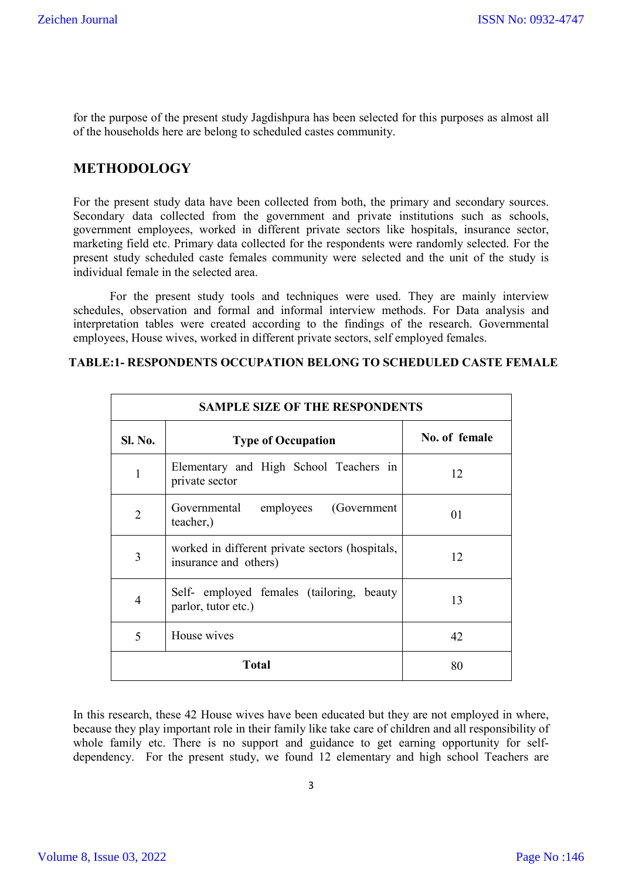for the purpose of the present study Jagdishpura has been selected for this purposes as almost all of the households here are belong to scheduled castes community.

## **METHODOLOGY**

For the present study data have been collected from both, the primary and secondary sources. Secondary data collected from the government and private institutions such as schools, government employees, worked in different private sectors like hospitals, insurance sector, marketing field etc. Primary data collected for the respondents were randomly selected. For the present study scheduled caste females community were selected and the unit of the study is individual female in the selected area.

For the present study tools and techniques were used. They are mainly interview schedules, observation and formal and informal interview methods. For Data analysis and interpretation tables were created according to the findings of the research. Governmental employees, House wives, worked in different private sectors, self employed females.

| <b>SAMPLE SIZE OF THE RESPONDENTS</b> |                                                                          |               |  |
|---------------------------------------|--------------------------------------------------------------------------|---------------|--|
| <b>Sl. No.</b>                        | <b>Type of Occupation</b>                                                | No. of female |  |
| $\mathbf{1}$                          | Elementary and High School Teachers in<br>private sector                 | 12            |  |
| $\overline{2}$                        | Governmental<br>(Government)<br>employees<br>teacher,)                   | 01            |  |
| 3                                     | worked in different private sectors (hospitals,<br>insurance and others) | 12            |  |
| 4                                     | Self- employed females (tailoring, beauty<br>parlor, tutor etc.)         | 13            |  |
| 5                                     | House wives                                                              | 42            |  |
| <b>Total</b>                          |                                                                          | 80            |  |

## **TABLE:1- RESPONDENTS OCCUPATION BELONG TO SCHEDULED CASTE FEMALE**

In this research, these 42 House wives have been educated but they are not employed in where, because they play important role in their family like take care of children and all responsibility of whole family etc. There is no support and guidance to get earning opportunity for selfdependency. For the present study, we found 12 elementary and high school Teachers are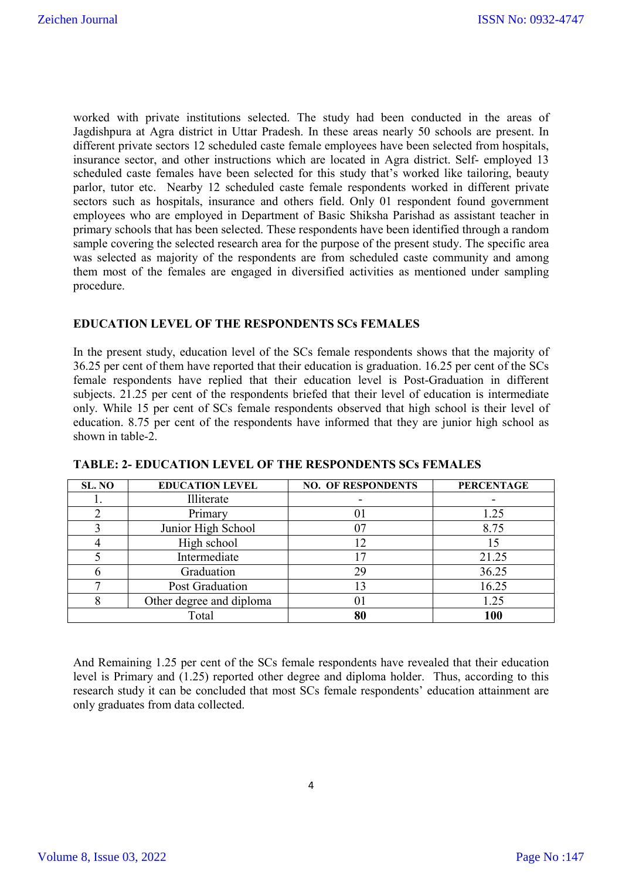worked with private institutions selected. The study had been conducted in the areas of Jagdishpura at Agra district in Uttar Pradesh. In these areas nearly 50 schools are present. In different private sectors 12 scheduled caste female employees have been selected from hospitals, insurance sector, and other instructions which are located in Agra district. Self- employed 13 scheduled caste females have been selected for this study that's worked like tailoring, beauty parlor, tutor etc. Nearby 12 scheduled caste female respondents worked in different private sectors such as hospitals, insurance and others field. Only 01 respondent found government employees who are employed in Department of Basic Shiksha Parishad as assistant teacher in primary schools that has been selected. These respondents have been identified through a random sample covering the selected research area for the purpose of the present study. The specific area was selected as majority of the respondents are from scheduled caste community and among them most of the females are engaged in diversified activities as mentioned under sampling procedure.

### **EDUCATION LEVEL OF THE RESPONDENTS SCs FEMALES**

In the present study, education level of the SCs female respondents shows that the majority of 36.25 per cent of them have reported that their education is graduation. 16.25 per cent of the SCs female respondents have replied that their education level is Post-Graduation in different subjects. 21.25 per cent of the respondents briefed that their level of education is intermediate only. While 15 per cent of SCs female respondents observed that high school is their level of education. 8.75 per cent of the respondents have informed that they are junior high school as shown in table-2.

| SL. NO | <b>EDUCATION LEVEL</b>   | <b>NO. OF RESPONDENTS</b> | <b>PERCENTAGE</b> |
|--------|--------------------------|---------------------------|-------------------|
|        | Illiterate               |                           |                   |
|        | Primary                  |                           | 1.25              |
|        | Junior High School       |                           | 8.75              |
|        | High school              |                           |                   |
|        | Intermediate             |                           | 21.25             |
|        | Graduation               | 29                        | 36.25             |
|        | Post Graduation          |                           | 16.25             |
|        | Other degree and diploma | 01                        | 1.25              |
|        | Total                    | 80                        | 100               |

**TABLE: 2- EDUCATION LEVEL OF THE RESPONDENTS SCs FEMALES**

And Remaining 1.25 per cent of the SCs female respondents have revealed that their education level is Primary and (1.25) reported other degree and diploma holder. Thus, according to this research study it can be concluded that most SCs female respondents' education attainment are only graduates from data collected.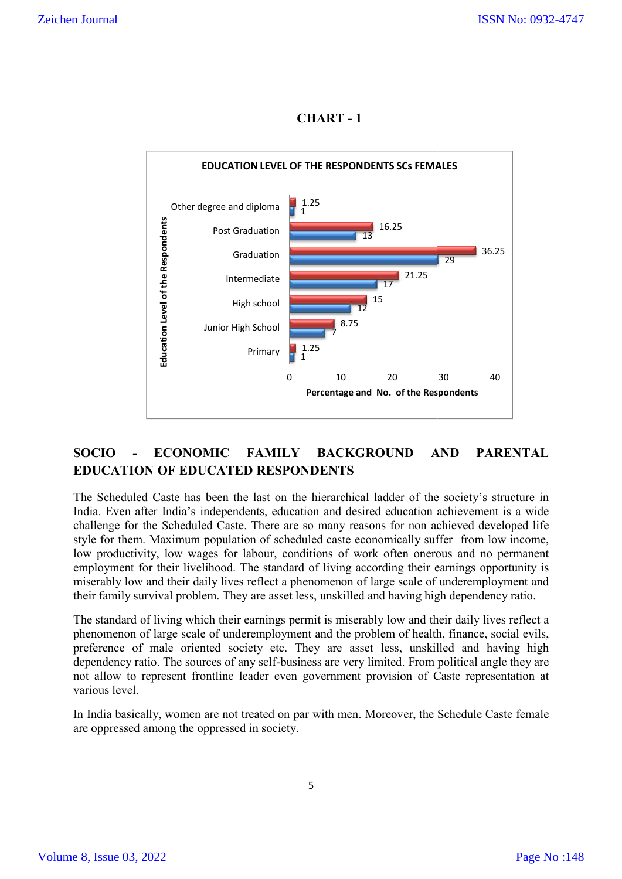**CHART - 1**



# **SOCIO - ECONOMIC FAMILY BACKGROUND AND PARENTAL BACKGROUND EDUCATION OF EDUCATED RESPONDENTS**

The Scheduled Caste has been the last on the hierarchical ladder of the society's structure in India. Even after India's independents, education and desired education achievement is a wide challenge for the Scheduled Caste. There are so many reasons for non ac style for them. Maximum population of scheduled caste economically suffer from low income, low productivity, low wages for labour, conditions of work often onerous and no permanent employment for their livelihood. The standard of living according their earnings opportunity is miserably low and their daily lives reflect a phenomenon of large scale of underemployment and their family survival problem. They are asset less, unskilled and having high dependency ratio. Scheduled Caste. There are so many reasons for non achieved developed life aximum population of scheduled caste economically suffer from low income, low wages for labour, conditions of work often onerous and no permanent h hical ladder of the society's structure in<br>desired education achievement is a wide<br>reasons for non achieved developed life

The standard of living which their earnings permit is miserably low and their daily lives reflect a phenomenon of large scale of underemployment and the problem of health, finance, social evils, preference of male oriented society etc. They are asset less, unskilled and having dependency ratio. The sources of any self-business are very limited. From political angle they are not allow to represent frontline leader even government provision of Caste representation at various level. their daily lives reflect a phenomenon of large scale of underemployment and<br>al problem. They are asset less, unskilled and having high dependency ratio.<br>ing which their earnings permit is miserably low and their daily liv iving according their earnings opportunity is<br>nenon of large scale of underemployment and<br>nskilled and having high dependency ratio.<br>s miserably low and their daily lives reflect a<br>d the problem of health, finance, social

In India basically, women are not treated on par with men. Moreover, the Schedule Caste female are oppressed among the oppressed in society.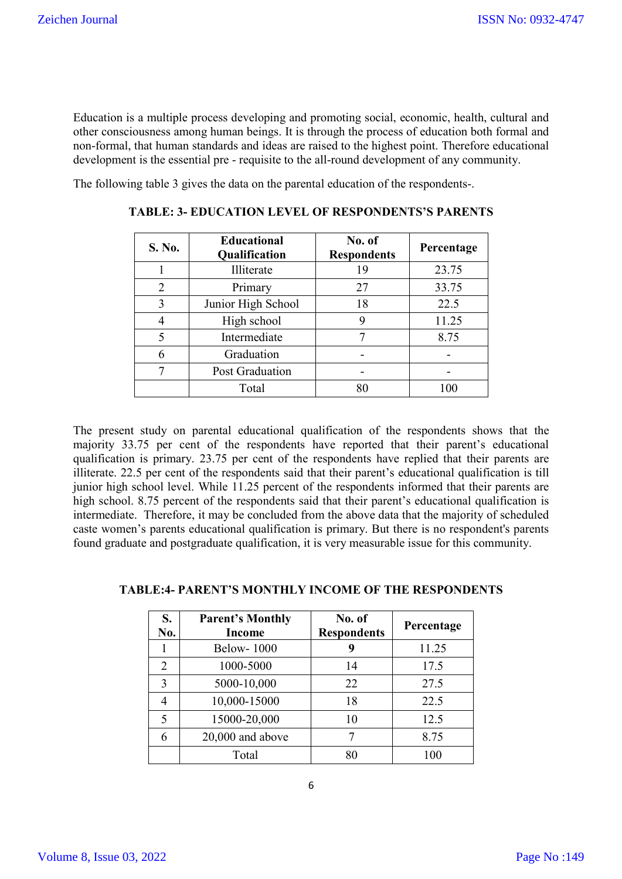Education is a multiple process developing and promoting social, economic, health, cultural and other consciousness among human beings. It is through the process of education both formal and non-formal, that human standards and ideas are raised to the highest point. Therefore educational development is the essential pre - requisite to the all-round development of any community.

The following table 3 gives the data on the parental education of the respondents-.

| S. No. | <b>Educational</b><br>Qualification | No. of<br><b>Respondents</b> | Percentage |
|--------|-------------------------------------|------------------------------|------------|
|        | Illiterate                          | 19                           | 23.75      |
| 2      | Primary                             | 27                           | 33.75      |
| 3      | Junior High School                  | 18                           | 22.5       |
|        | High school                         | 9                            | 11.25      |
| 5      | Intermediate                        |                              | 8.75       |
| 6      | Graduation                          |                              |            |
| 7      | Post Graduation                     |                              |            |
|        | Total                               | 80                           | 100        |

**TABLE: 3- EDUCATION LEVEL OF RESPONDENTS'S PARENTS**

The present study on parental educational qualification of the respondents shows that the majority 33.75 per cent of the respondents have reported that their parent's educational qualification is primary. 23.75 per cent of the respondents have replied that their parents are illiterate. 22.5 per cent of the respondents said that their parent's educational qualification is till junior high school level. While 11.25 percent of the respondents informed that their parents are high school. 8.75 percent of the respondents said that their parent's educational qualification is intermediate. Therefore, it may be concluded from the above data that the majority of scheduled caste women's parents educational qualification is primary. But there is no respondent's parents found graduate and postgraduate qualification, it is very measurable issue for this community.

| S.<br>No.      | <b>Parent's Monthly</b><br>Income | No. of<br><b>Respondents</b> | Percentage |
|----------------|-----------------------------------|------------------------------|------------|
|                | <b>Below-1000</b>                 | 9                            | 11.25      |
| $\overline{2}$ | 1000-5000                         | 14                           | 17.5       |
| 3              | 5000-10,000                       | 22                           | 27.5       |
| 4              | 10,000-15000                      | 18                           | 22.5       |
| 5              | 15000-20,000                      | 10                           | 12.5       |
| 6              | 20,000 and above                  |                              | 8.75       |
|                | Total                             | 80                           | 100        |

#### **TABLE:4- PARENT'S MONTHLY INCOME OF THE RESPONDENTS**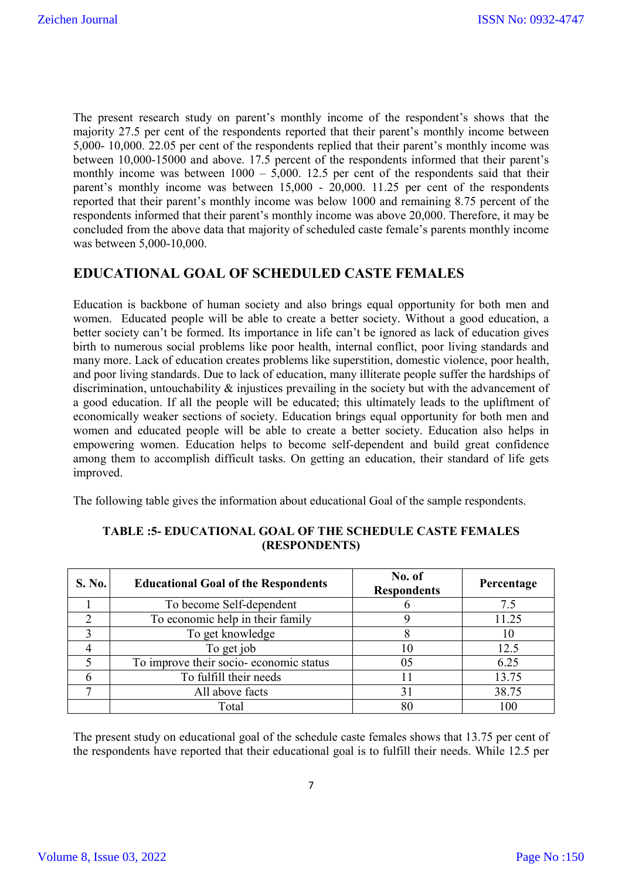The present research study on parent's monthly income of the respondent's shows that the majority 27.5 per cent of the respondents reported that their parent's monthly income between 5,000- 10,000. 22.05 per cent of the respondents replied that their parent's monthly income was between 10,000-15000 and above. 17.5 percent of the respondents informed that their parent's monthly income was between  $1000 - 5{,}000$ . 12.5 per cent of the respondents said that their parent's monthly income was between 15,000 - 20,000. 11.25 per cent of the respondents reported that their parent's monthly income was below 1000 and remaining 8.75 percent of the respondents informed that their parent's monthly income was above 20,000. Therefore, it may be concluded from the above data that majority of scheduled caste female's parents monthly income was between 5,000-10,000.

# **EDUCATIONAL GOAL OF SCHEDULED CASTE FEMALES**

Education is backbone of human society and also brings equal opportunity for both men and women. Educated people will be able to create a better society. Without a good education, a better society can't be formed. Its importance in life can't be ignored as lack of education gives birth to numerous social problems like poor health, internal conflict, poor living standards and many more. Lack of education creates problems like superstition, domestic violence, poor health, and poor living standards. Due to lack of education, many illiterate people suffer the hardships of discrimination, untouchability & injustices prevailing in the society but with the advancement of a good education. If all the people will be educated; this ultimately leads to the upliftment of economically weaker sections of society. Education brings equal opportunity for both men and women and educated people will be able to create a better society. Education also helps in empowering women. Education helps to become self-dependent and build great confidence among them to accomplish difficult tasks. On getting an education, their standard of life gets improved.

The following table gives the information about educational Goal of the sample respondents.

| S. No. | <b>Educational Goal of the Respondents</b> | No. of<br><b>Respondents</b> | Percentage |
|--------|--------------------------------------------|------------------------------|------------|
|        | To become Self-dependent                   |                              | 7.5        |
|        | To economic help in their family           |                              | 11.25      |
|        | To get knowledge                           |                              | 10         |
|        | To get job                                 |                              | 12.5       |
|        | To improve their socio-economic status     | 05                           | 6.25       |
|        | To fulfill their needs                     |                              | 13.75      |
|        | All above facts                            | 31                           | 38.75      |
|        | Total                                      | 80                           | 100        |

### **TABLE :5- EDUCATIONAL GOAL OF THE SCHEDULE CASTE FEMALES (RESPONDENTS)**

The present study on educational goal of the schedule caste females shows that 13.75 per cent of the respondents have reported that their educational goal is to fulfill their needs. While 12.5 per